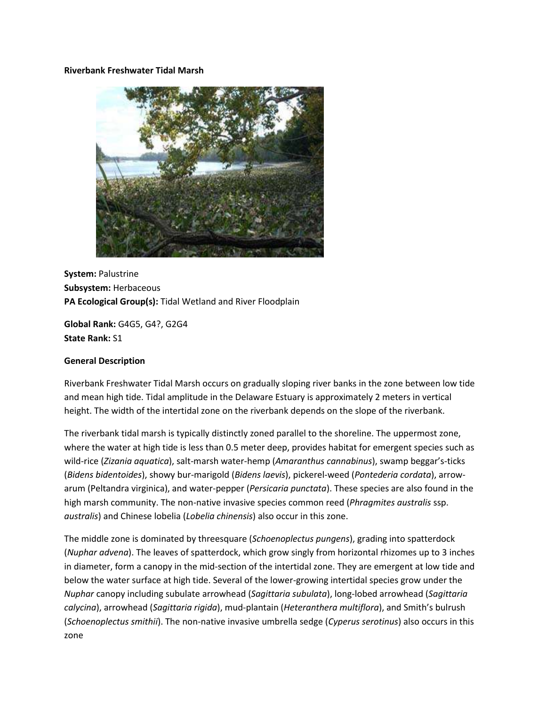### **Riverbank Freshwater Tidal Marsh**



**System:** Palustrine **Subsystem:** Herbaceous **PA Ecological Group(s):** Tidal Wetland and River Floodplain

**Global Rank:** G4G5, G4?, G2G4 **State Rank:** S1

## **General Description**

Riverbank Freshwater Tidal Marsh occurs on gradually sloping river banks in the zone between low tide and mean high tide. Tidal amplitude in the Delaware Estuary is approximately 2 meters in vertical height. The width of the intertidal zone on the riverbank depends on the slope of the riverbank.

The riverbank tidal marsh is typically distinctly zoned parallel to the shoreline. The uppermost zone, where the water at high tide is less than 0.5 meter deep, provides habitat for emergent species such as wild-rice (*Zizania aquatica*), salt-marsh water-hemp (*Amaranthus cannabinus*), swamp beggar's-ticks (*Bidens bidentoides*), showy bur-marigold (*Bidens laevis*), pickerel-weed (*Pontederia cordata*), arrowarum (Peltandra virginica), and water-pepper (*Persicaria punctata*). These species are also found in the high marsh community. The non-native invasive species common reed (*Phragmites australis* ssp. *australis*) and Chinese lobelia (*Lobelia chinensis*) also occur in this zone.

The middle zone is dominated by threesquare (*Schoenoplectus pungens*), grading into spatterdock (*Nuphar advena*). The leaves of spatterdock, which grow singly from horizontal rhizomes up to 3 inches in diameter, form a canopy in the mid-section of the intertidal zone. They are emergent at low tide and below the water surface at high tide. Several of the lower-growing intertidal species grow under the *Nuphar* canopy including subulate arrowhead (*Sagittaria subulata*), long-lobed arrowhead (*Sagittaria calycina*), arrowhead (*Sagittaria rigida*), mud-plantain (*Heteranthera multiflora*), and Smith's bulrush (*Schoenoplectus smithii*). The non-native invasive umbrella sedge (*Cyperus serotinus*) also occurs in this zone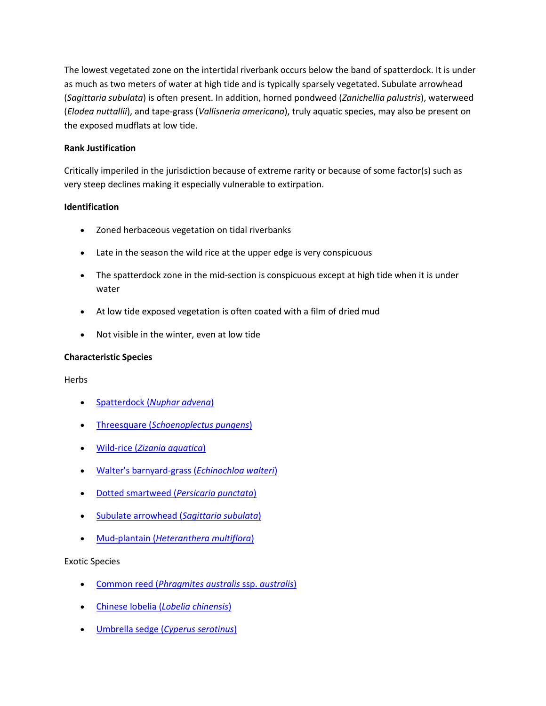The lowest vegetated zone on the intertidal riverbank occurs below the band of spatterdock. It is under as much as two meters of water at high tide and is typically sparsely vegetated. Subulate arrowhead (*Sagittaria subulata*) is often present. In addition, horned pondweed (*Zanichellia palustris*), waterweed (*Elodea nuttallii*), and tape-grass (*Vallisneria americana*), truly aquatic species, may also be present on the exposed mudflats at low tide.

## **Rank Justification**

Critically imperiled in the jurisdiction because of extreme rarity or because of some factor(s) such as very steep declines making it especially vulnerable to extirpation.

# **Identification**

- Zoned herbaceous vegetation on tidal riverbanks
- Late in the season the wild rice at the upper edge is very conspicuous
- The spatterdock zone in the mid-section is conspicuous except at high tide when it is under water
- At low tide exposed vegetation is often coated with a film of dried mud
- Not visible in the winter, even at low tide

## **Characteristic Species**

Herbs

- Spatterdock (*[Nuphar advena](http://www.natureserve.org/explorer/servlet/NatureServe?searchName=Nuphar+lutea+ssp.+advena%20)*)
- Threesquare (*[Schoenoplectus pungens](http://www.natureserve.org/explorer/servlet/NatureServe?searchName=Schoenoplectus+pungens)*)
- Wild-rice (*[Zizania aquatica](http://www.natureserve.org/explorer/servlet/NatureServe?searchName=Zizania+aquatica)*)
- [Walter's barnyard-grass \(](http://www.natureserve.org/explorer/servlet/NatureServe?searchName=Echinochloa+walteri)*Echinochloa walteri*)
- [Dotted smartweed \(](http://www.natureserve.org/explorer/servlet/NatureServe?searchName=Polygonum+punctatum%20%20)*Persicaria punctata*)
- [Subulate arrowhead \(](http://www.natureserve.org/explorer/servlet/NatureServe?searchName=Sagittaria+subulata)*Sagittaria subulata*)
- Mud-plantain (*[Heteranthera multiflora](http://www.natureserve.org/explorer/servlet/NatureServe?searchName=Heteranthera+multiflora)*)

Exotic Species

- Common reed (*[Phragmites australis](http://www.natureserve.org/explorer/servlet/NatureServe?searchName=Phragmites+australis+ssp.+australis)* ssp. *australis*)
- Chinese lobelia (*[Lobelia chinensis](http://www.natureserve.org/explorer/servlet/NatureServe?searchName=Lobelia+chinensis)*)
- Umbrella sedge (*[Cyperus serotinus](http://www.natureserve.org/explorer/servlet/NatureServe?searchName=Cyperus+serotinus)*)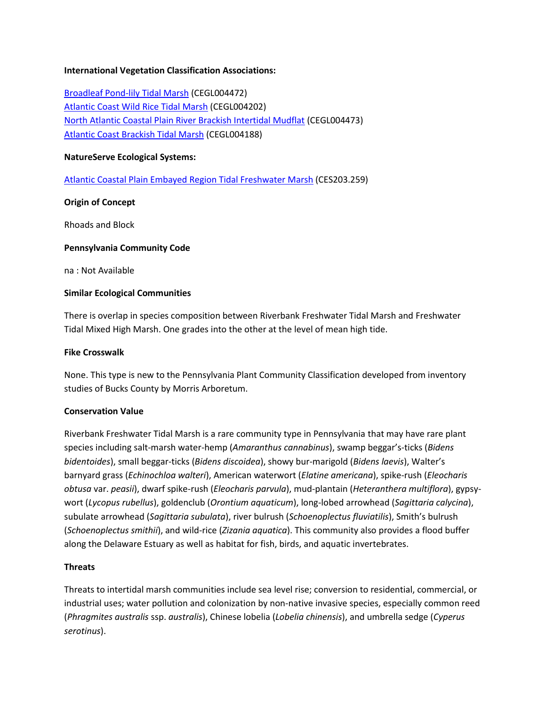## **International Vegetation Classification Associations:**

[Broadleaf Pond-lily Tidal Marsh](http://www.natureserve.org/explorer/servlet/NatureServe?searchCommunityUid=ELEMENT_GLOBAL.2.688122) (CEGL004472) [Atlantic Coast Wild Rice Tidal Marsh](http://www.natureserve.org/explorer/servlet/NatureServe?searchCommunityUid=ELEMENT_GLOBAL.2.689364) (CEGL004202) [North Atlantic Coastal Plain River Brackish Intertidal Mudflat](http://www.natureserve.org/explorer/servlet/NatureServe?searchCommunityUid=ELEMENT_GLOBAL.2.686532) (CEGL004473) [Atlantic Coast Brackish Tidal Marsh](http://www.natureserve.org/explorer/servlet/NatureServe?searchCommunityUid=ELEMENT_GLOBAL.2.683291) (CEGL004188)

### **NatureServe Ecological Systems:**

[Atlantic Coastal Plain Embayed Region Tidal Freshwater Marsh](http://www.natureserve.org/explorer/servlet/NatureServe?searchSystemUid=ELEMENT_GLOBAL.2.723227) (CES203.259)

## **Origin of Concept**

Rhoads and Block

## **Pennsylvania Community Code**

na : Not Available

### **Similar Ecological Communities**

There is overlap in species composition between Riverbank Freshwater Tidal Marsh and Freshwater Tidal Mixed High Marsh. One grades into the other at the level of mean high tide.

### **Fike Crosswalk**

None. This type is new to the Pennsylvania Plant Community Classification developed from inventory studies of Bucks County by Morris Arboretum.

## **Conservation Value**

Riverbank Freshwater Tidal Marsh is a rare community type in Pennsylvania that may have rare plant species including salt-marsh water-hemp (*Amaranthus cannabinus*), swamp beggar's-ticks (*Bidens bidentoides*), small beggar-ticks (*Bidens discoidea*), showy bur-marigold (*Bidens laevis*), Walter's barnyard grass (*Echinochloa walteri*), American waterwort (*Elatine americana*), spike-rush (*Eleocharis obtusa* var. *peasii*), dwarf spike-rush (*Eleocharis parvula*), mud-plantain (*Heteranthera multiflora*), gypsywort (*Lycopus rubellus*), goldenclub (*Orontium aquaticum*), long-lobed arrowhead (*Sagittaria calycina*), subulate arrowhead (*Sagittaria subulata*), river bulrush (*Schoenoplectus fluviatilis*), Smith's bulrush (*Schoenoplectus smithii*), and wild-rice (*Zizania aquatica*). This community also provides a flood buffer along the Delaware Estuary as well as habitat for fish, birds, and aquatic invertebrates.

## **Threats**

Threats to intertidal marsh communities include sea level rise; conversion to residential, commercial, or industrial uses; water pollution and colonization by non-native invasive species, especially common reed (*Phragmites australis* ssp. *australis*), Chinese lobelia (*Lobelia chinensis*), and umbrella sedge (*Cyperus serotinus*).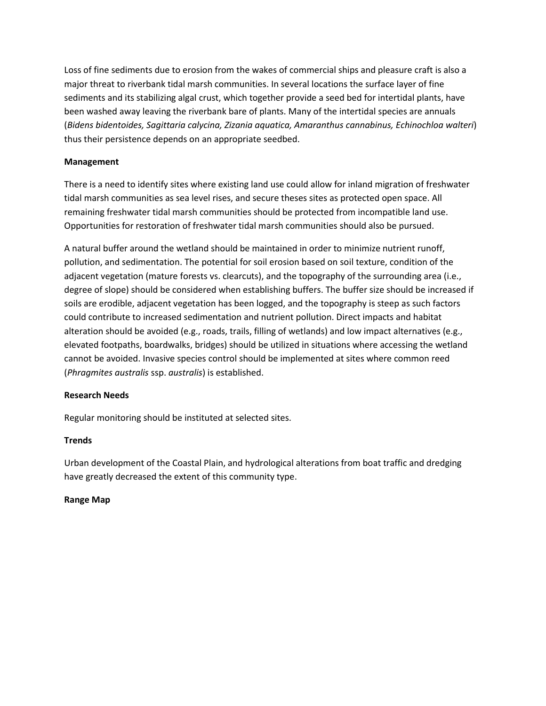Loss of fine sediments due to erosion from the wakes of commercial ships and pleasure craft is also a major threat to riverbank tidal marsh communities. In several locations the surface layer of fine sediments and its stabilizing algal crust, which together provide a seed bed for intertidal plants, have been washed away leaving the riverbank bare of plants. Many of the intertidal species are annuals (*Bidens bidentoides, Sagittaria calycina, Zizania aquatica, Amaranthus cannabinus, Echinochloa walteri*) thus their persistence depends on an appropriate seedbed.

# **Management**

There is a need to identify sites where existing land use could allow for inland migration of freshwater tidal marsh communities as sea level rises, and secure theses sites as protected open space. All remaining freshwater tidal marsh communities should be protected from incompatible land use. Opportunities for restoration of freshwater tidal marsh communities should also be pursued.

A natural buffer around the wetland should be maintained in order to minimize nutrient runoff, pollution, and sedimentation. The potential for soil erosion based on soil texture, condition of the adjacent vegetation (mature forests vs. clearcuts), and the topography of the surrounding area (i.e., degree of slope) should be considered when establishing buffers. The buffer size should be increased if soils are erodible, adjacent vegetation has been logged, and the topography is steep as such factors could contribute to increased sedimentation and nutrient pollution. Direct impacts and habitat alteration should be avoided (e.g., roads, trails, filling of wetlands) and low impact alternatives (e.g., elevated footpaths, boardwalks, bridges) should be utilized in situations where accessing the wetland cannot be avoided. Invasive species control should be implemented at sites where common reed (*Phragmites australis* ssp. *australis*) is established.

## **Research Needs**

Regular monitoring should be instituted at selected sites.

## **Trends**

Urban development of the Coastal Plain, and hydrological alterations from boat traffic and dredging have greatly decreased the extent of this community type.

## **Range Map**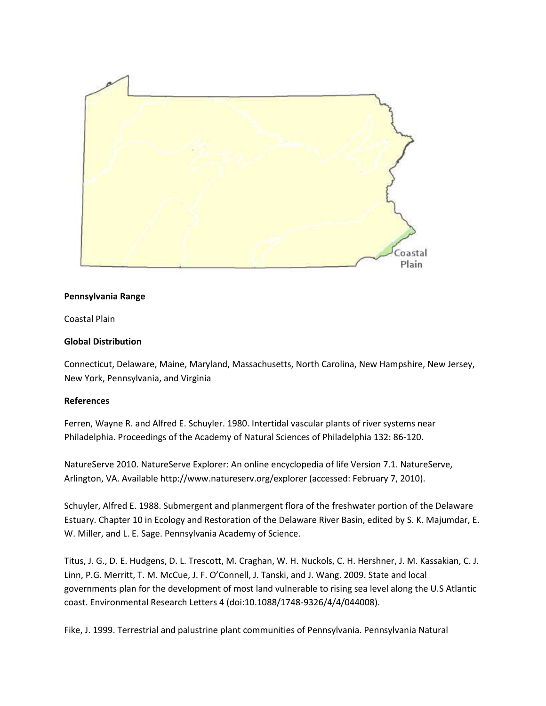

### **Pennsylvania Range**

Coastal Plain

### **Global Distribution**

Connecticut, Delaware, Maine, Maryland, Massachusetts, North Carolina, New Hampshire, New Jersey, New York, Pennsylvania, and Virginia

#### **References**

Ferren, Wayne R. and Alfred E. Schuyler. 1980. Intertidal vascular plants of river systems near Philadelphia. Proceedings of the Academy of Natural Sciences of Philadelphia 132: 86-120.

NatureServe 2010. NatureServe Explorer: An online encyclopedia of life Version 7.1. NatureServe, Arlington, VA. Available http://www.natureserv.org/explorer (accessed: February 7, 2010).

Schuyler, Alfred E. 1988. Submergent and planmergent flora of the freshwater portion of the Delaware Estuary. Chapter 10 in Ecology and Restoration of the Delaware River Basin, edited by S. K. Majumdar, E. W. Miller, and L. E. Sage. Pennsylvania Academy of Science.

Titus, J. G., D. E. Hudgens, D. L. Trescott, M. Craghan, W. H. Nuckols, C. H. Hershner, J. M. Kassakian, C. J. Linn, P.G. Merritt, T. M. McCue, J. F. O'Connell, J. Tanski, and J. Wang. 2009. State and local governments plan for the development of most land vulnerable to rising sea level along the U.S Atlantic coast. Environmental Research Letters 4 (doi:10.1088/1748-9326/4/4/044008).

Fike, J. 1999. Terrestrial and palustrine plant communities of Pennsylvania. Pennsylvania Natural